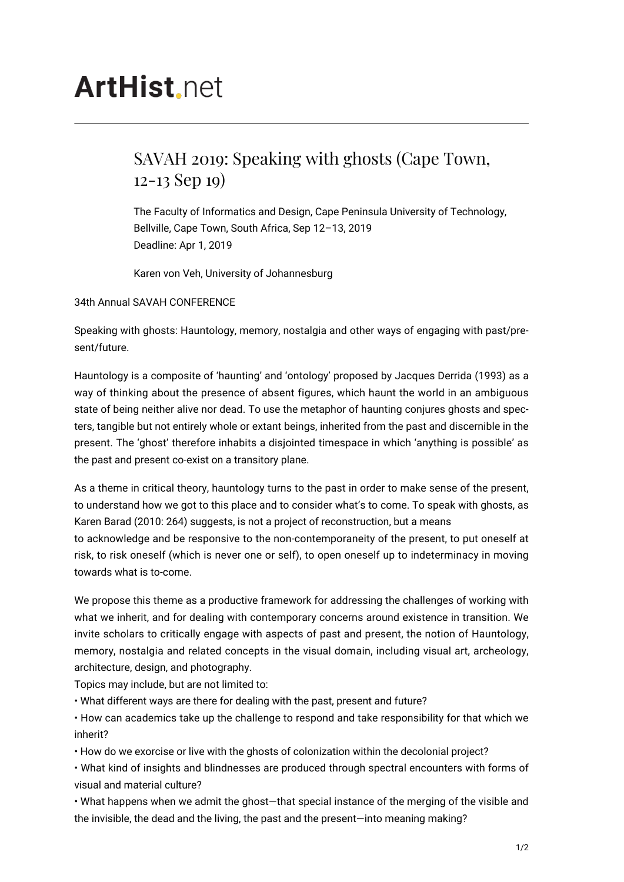## **ArtHist** net

## SAVAH 2019: Speaking with ghosts (Cape Town, 12-13 Sep 19)

The Faculty of Informatics and Design, Cape Peninsula University of Technology, Bellville, Cape Town, South Africa, Sep 12–13, 2019 Deadline: Apr 1, 2019

Karen von Veh, University of Johannesburg

34th Annual SAVAH CONFERENCE

Speaking with ghosts: Hauntology, memory, nostalgia and other ways of engaging with past/present/future.

Hauntology is a composite of 'haunting' and 'ontology' proposed by Jacques Derrida (1993) as a way of thinking about the presence of absent figures, which haunt the world in an ambiguous state of being neither alive nor dead. To use the metaphor of haunting conjures ghosts and specters, tangible but not entirely whole or extant beings, inherited from the past and discernible in the present. The 'ghost' therefore inhabits a disjointed timespace in which 'anything is possible' as the past and present co-exist on a transitory plane.

As a theme in critical theory, hauntology turns to the past in order to make sense of the present, to understand how we got to this place and to consider what's to come. To speak with ghosts, as Karen Barad (2010: 264) suggests, is not a project of reconstruction, but a means to acknowledge and be responsive to the non-contemporaneity of the present, to put oneself at

risk, to risk oneself (which is never one or self), to open oneself up to indeterminacy in moving towards what is to-come.

We propose this theme as a productive framework for addressing the challenges of working with what we inherit, and for dealing with contemporary concerns around existence in transition. We invite scholars to critically engage with aspects of past and present, the notion of Hauntology, memory, nostalgia and related concepts in the visual domain, including visual art, archeology, architecture, design, and photography.

Topics may include, but are not limited to:

• What different ways are there for dealing with the past, present and future?

• How can academics take up the challenge to respond and take responsibility for that which we inherit?

• How do we exorcise or live with the ghosts of colonization within the decolonial project?

• What kind of insights and blindnesses are produced through spectral encounters with forms of visual and material culture?

• What happens when we admit the ghost—that special instance of the merging of the visible and the invisible, the dead and the living, the past and the present—into meaning making?